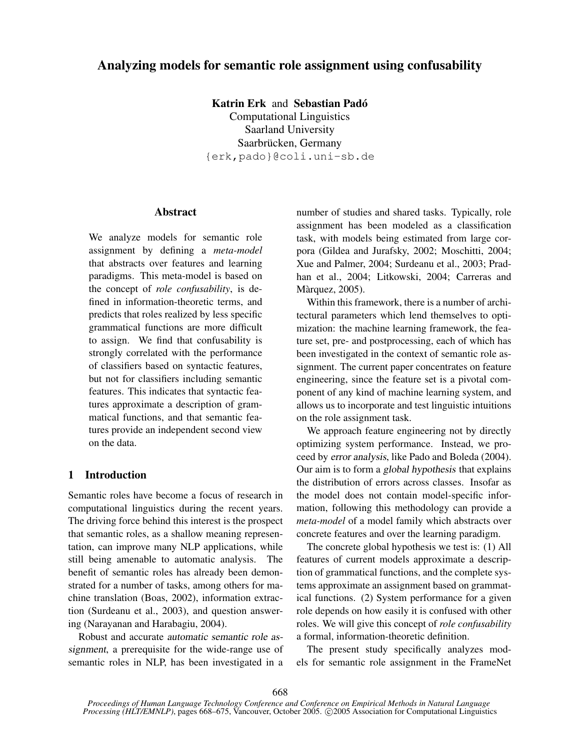# Analyzing models for semantic role assignment using confusability

Katrin Erk and Sebastian Padó Computational Linguistics Saarland University Saarbrücken, Germany {erk,pado}@coli.uni-sb.de

#### Abstract

We analyze models for semantic role assignment by defining a *meta-model* that abstracts over features and learning paradigms. This meta-model is based on the concept of *role confusability*, is defined in information-theoretic terms, and predicts that roles realized by less specific grammatical functions are more difficult to assign. We find that confusability is strongly correlated with the performance of classifiers based on syntactic features, but not for classifiers including semantic features. This indicates that syntactic features approximate a description of grammatical functions, and that semantic features provide an independent second view on the data.

### 1 Introduction

Semantic roles have become a focus of research in computational linguistics during the recent years. The driving force behind this interest is the prospect that semantic roles, as a shallow meaning representation, can improve many NLP applications, while still being amenable to automatic analysis. The benefit of semantic roles has already been demonstrated for a number of tasks, among others for machine translation (Boas, 2002), information extraction (Surdeanu et al., 2003), and question answering (Narayanan and Harabagiu, 2004).

Robust and accurate automatic semantic role assignment, a prerequisite for the wide-range use of semantic roles in NLP, has been investigated in a number of studies and shared tasks. Typically, role assignment has been modeled as a classification task, with models being estimated from large corpora (Gildea and Jurafsky, 2002; Moschitti, 2004; Xue and Palmer, 2004; Surdeanu et al., 2003; Pradhan et al., 2004; Litkowski, 2004; Carreras and Màrquez, 2005).

Within this framework, there is a number of architectural parameters which lend themselves to optimization: the machine learning framework, the feature set, pre- and postprocessing, each of which has been investigated in the context of semantic role assignment. The current paper concentrates on feature engineering, since the feature set is a pivotal component of any kind of machine learning system, and allows us to incorporate and test linguistic intuitions on the role assignment task.

We approach feature engineering not by directly optimizing system performance. Instead, we proceed by error analysis, like Pado and Boleda (2004). Our aim is to form a global hypothesis that explains the distribution of errors across classes. Insofar as the model does not contain model-specific information, following this methodology can provide a *meta-model* of a model family which abstracts over concrete features and over the learning paradigm.

The concrete global hypothesis we test is: (1) All features of current models approximate a description of grammatical functions, and the complete systems approximate an assignment based on grammatical functions. (2) System performance for a given role depends on how easily it is confused with other roles. We will give this concept of *role confusability* a formal, information-theoretic definition.

The present study specifically analyzes models for semantic role assignment in the FrameNet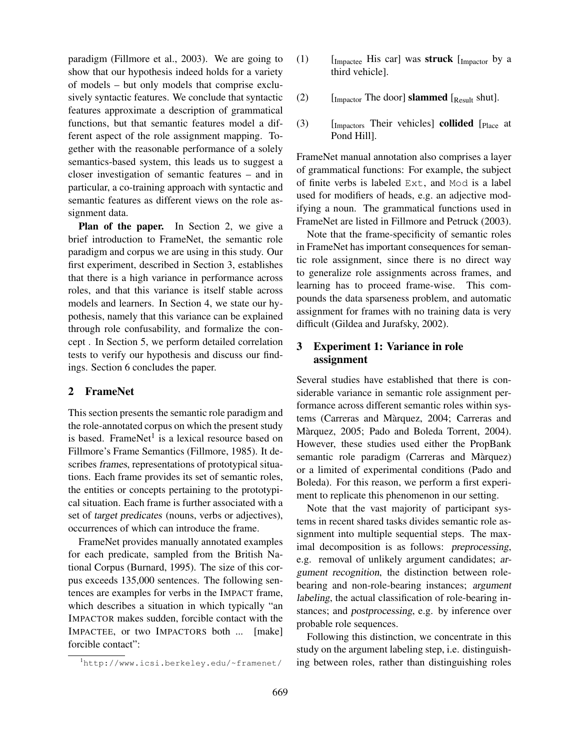paradigm (Fillmore et al., 2003). We are going to show that our hypothesis indeed holds for a variety of models – but only models that comprise exclusively syntactic features. We conclude that syntactic features approximate a description of grammatical functions, but that semantic features model a different aspect of the role assignment mapping. Together with the reasonable performance of a solely semantics-based system, this leads us to suggest a closer investigation of semantic features – and in particular, a co-training approach with syntactic and semantic features as different views on the role assignment data.

Plan of the paper. In Section 2, we give a brief introduction to FrameNet, the semantic role paradigm and corpus we are using in this study. Our first experiment, described in Section 3, establishes that there is a high variance in performance across roles, and that this variance is itself stable across models and learners. In Section 4, we state our hypothesis, namely that this variance can be explained through role confusability, and formalize the concept . In Section 5, we perform detailed correlation tests to verify our hypothesis and discuss our findings. Section 6 concludes the paper.

#### 2 FrameNet

This section presents the semantic role paradigm and the role-annotated corpus on which the present study is based. FrameNet<sup>1</sup> is a lexical resource based on Fillmore's Frame Semantics (Fillmore, 1985). It describes frames, representations of prototypical situations. Each frame provides its set of semantic roles, the entities or concepts pertaining to the prototypical situation. Each frame is further associated with a set of target predicates (nouns, verbs or adjectives), occurrences of which can introduce the frame.

FrameNet provides manually annotated examples for each predicate, sampled from the British National Corpus (Burnard, 1995). The size of this corpus exceeds 135,000 sentences. The following sentences are examples for verbs in the IMPACT frame, which describes a situation in which typically "an IMPACTOR makes sudden, forcible contact with the IMPACTEE, or two IMPACTORS both ... [make] forcible contact":

- (1)  $\left[ \text{Image His car} \right]$  was struck  $\left[ \text{Image by a} \right]$ third vehicle].
- (2)  $\left[ \text{Im} \text{factor} \right]$  [In closer] slammed  $\left[ \text{Result} \right]$ .
- $(3)$  [Impactors Their vehicles] collided [Place at Pond Hill].

FrameNet manual annotation also comprises a layer of grammatical functions: For example, the subject of finite verbs is labeled Ext, and Mod is a label used for modifiers of heads, e.g. an adjective modifying a noun. The grammatical functions used in FrameNet are listed in Fillmore and Petruck (2003).

Note that the frame-specificity of semantic roles in FrameNet has important consequences for semantic role assignment, since there is no direct way to generalize role assignments across frames, and learning has to proceed frame-wise. This compounds the data sparseness problem, and automatic assignment for frames with no training data is very difficult (Gildea and Jurafsky, 2002).

# 3 Experiment 1: Variance in role assignment

Several studies have established that there is considerable variance in semantic role assignment performance across different semantic roles within systems (Carreras and Màrquez, 2004; Carreras and Màrquez, 2005; Pado and Boleda Torrent, 2004). However, these studies used either the PropBank semantic role paradigm (Carreras and Màrquez) or a limited of experimental conditions (Pado and Boleda). For this reason, we perform a first experiment to replicate this phenomenon in our setting.

Note that the vast majority of participant systems in recent shared tasks divides semantic role assignment into multiple sequential steps. The maximal decomposition is as follows: preprocessing, e.g. removal of unlikely argument candidates; argument recognition, the distinction between rolebearing and non-role-bearing instances; argument labeling, the actual classification of role-bearing instances; and postprocessing, e.g. by inference over probable role sequences.

Following this distinction, we concentrate in this study on the argument labeling step, i.e. distinguishing between roles, rather than distinguishing roles

<sup>1</sup>http://www.icsi.berkeley.edu/~framenet/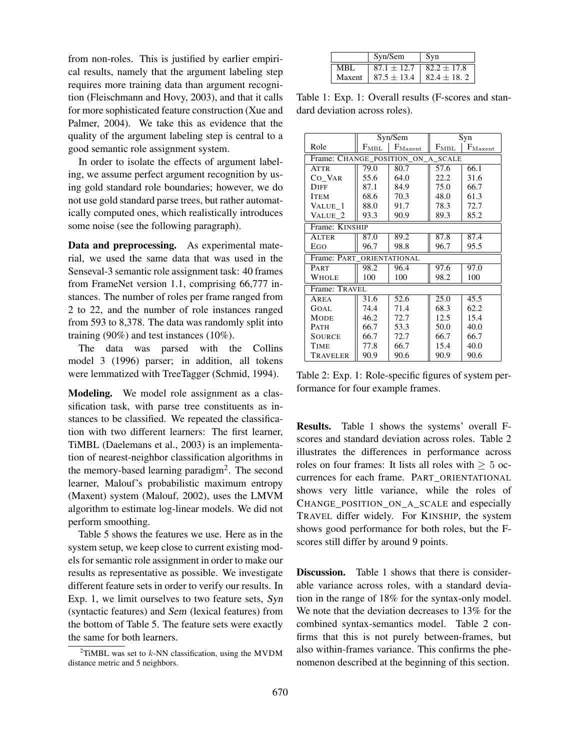from non-roles. This is justified by earlier empirical results, namely that the argument labeling step requires more training data than argument recognition (Fleischmann and Hovy, 2003), and that it calls for more sophisticated feature construction (Xue and Palmer, 2004). We take this as evidence that the quality of the argument labeling step is central to a good semantic role assignment system.

In order to isolate the effects of argument labeling, we assume perfect argument recognition by using gold standard role boundaries; however, we do not use gold standard parse trees, but rather automatically computed ones, which realistically introduces some noise (see the following paragraph).

Data and preprocessing. As experimental material, we used the same data that was used in the Senseval-3 semantic role assignment task: 40 frames from FrameNet version 1.1, comprising 66,777 instances. The number of roles per frame ranged from 2 to 22, and the number of role instances ranged from 593 to 8,378. The data was randomly split into training (90%) and test instances (10%).

The data was parsed with the Collins model 3 (1996) parser; in addition, all tokens were lemmatized with TreeTagger (Schmid, 1994).

Modeling. We model role assignment as a classification task, with parse tree constituents as instances to be classified. We repeated the classification with two different learners: The first learner, TiMBL (Daelemans et al., 2003) is an implementation of nearest-neighbor classification algorithms in the memory-based learning paradigm<sup>2</sup>. The second learner, Malouf's probabilistic maximum entropy (Maxent) system (Malouf, 2002), uses the LMVM algorithm to estimate log-linear models. We did not perform smoothing.

Table 5 shows the features we use. Here as in the system setup, we keep close to current existing models for semantic role assignment in order to make our results as representative as possible. We investigate different feature sets in order to verify our results. In Exp. 1, we limit ourselves to two feature sets, Syn (syntactic features) and Sem (lexical features) from the bottom of Table 5. The feature sets were exactly the same for both learners.

|        | Syn/Sem         | Svn             |  |
|--------|-----------------|-----------------|--|
| MRI    | $87.1 \pm 12.7$ | $82.2 \pm 17.8$ |  |
| Maxent | $87.5 \pm 13.4$ | $82.4 \pm 18.2$ |  |

Table 1: Exp. 1: Overall results (F-scores and standard deviation across roles).

|                                   | Syn/Sem                              |      | Syn           |                     |  |  |  |
|-----------------------------------|--------------------------------------|------|---------------|---------------------|--|--|--|
| Role                              | $F_{\text{Maxent}}$<br>$F_{\rm MBL}$ |      | $F_{\rm MBL}$ | $F_{\text{Maxent}}$ |  |  |  |
| Frame: CHANGE_POSITION_ON_A_SCALE |                                      |      |               |                     |  |  |  |
| <b>ATTR</b>                       | 79.0                                 | 80.7 | 57.6          | 66.1                |  |  |  |
| CO VAR                            | 55.6                                 | 64.0 | 22.2          | 31.6                |  |  |  |
| <b>DIFF</b>                       | 87.1                                 | 84.9 | 75.0          | 66.7                |  |  |  |
| <b>ITEM</b>                       | 68.6                                 | 70.3 | 48.0          | 61.3                |  |  |  |
| VALUE 1                           | 88.0                                 | 91.7 | 78.3          | 72.7                |  |  |  |
| VALUE 2                           | 93.3                                 | 90.9 | 89.3          | 85.2                |  |  |  |
| Frame: KINSHIP                    |                                      |      |               |                     |  |  |  |
| ALTER                             | 87.0                                 | 89.2 | 87.8          | 87.4                |  |  |  |
| EGO                               | 96.7                                 | 98.8 | 96.7          | 95.5                |  |  |  |
| Frame: PART ORIENTATIONAL         |                                      |      |               |                     |  |  |  |
| PART                              | 98.2                                 | 96.4 | 97.6          | 97.0                |  |  |  |
| WHOLE                             | 100                                  | 100  | 98.2          | 100                 |  |  |  |
| Frame: TRAVEL                     |                                      |      |               |                     |  |  |  |
| AREA                              | 31.6                                 | 52.6 | 25.0          | 45.5                |  |  |  |
| GOAL                              | 74.4                                 | 71.4 | 68.3          | 62.2                |  |  |  |
| <b>MODE</b>                       | 46.2                                 | 72.7 | 12.5          | 15.4                |  |  |  |
| <b>PATH</b>                       | 66.7                                 | 53.3 | 50.0          | 40.0                |  |  |  |
| <b>SOURCE</b>                     | 66.7                                 | 72.7 | 66.7          | 66.7                |  |  |  |
| TIME                              | 77.8                                 | 66.7 | 15.4          | 40.0                |  |  |  |
| TRAVELER                          | 90.9                                 | 90.6 | 90.9          | 90.6                |  |  |  |

Table 2: Exp. 1: Role-specific figures of system performance for four example frames.

Results. Table 1 shows the systems' overall Fscores and standard deviation across roles. Table 2 illustrates the differences in performance across roles on four frames: It lists all roles with  $> 5$  occurrences for each frame. PART\_ORIENTATIONAL shows very little variance, while the roles of CHANGE\_POSITION\_ON\_A\_SCALE and especially TRAVEL differ widely. For KINSHIP, the system shows good performance for both roles, but the Fscores still differ by around 9 points.

**Discussion.** Table 1 shows that there is considerable variance across roles, with a standard deviation in the range of 18% for the syntax-only model. We note that the deviation decreases to 13% for the combined syntax-semantics model. Table 2 confirms that this is not purely between-frames, but also within-frames variance. This confirms the phenomenon described at the beginning of this section.

<sup>&</sup>lt;sup>2</sup>TiMBL was set to  $k$ -NN classification, using the MVDM distance metric and 5 neighbors.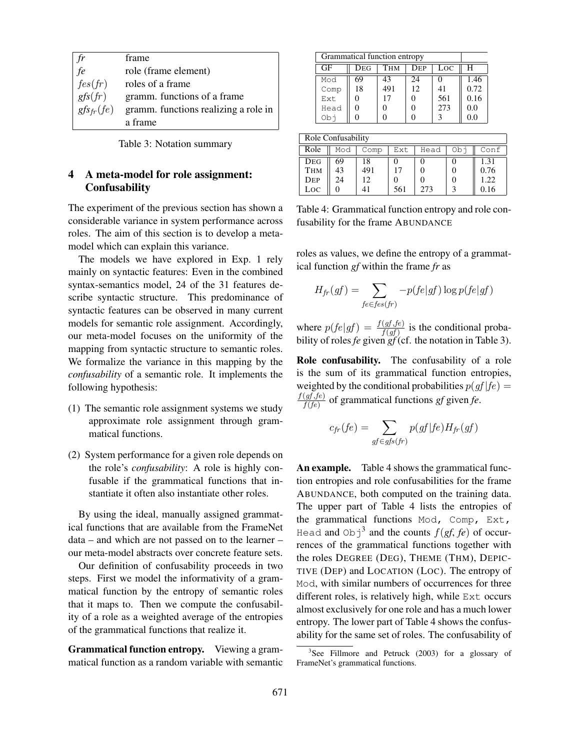|                | frame                                |
|----------------|--------------------------------------|
| fe             | role (frame element)                 |
| fes(fr)        | roles of a frame                     |
| gfs(fr)        | gramm. functions of a frame          |
| $gfs_{fr}(fe)$ | gramm. functions realizing a role in |
|                | a frame                              |

| Table 3: Notation summary |  |  |
|---------------------------|--|--|
|---------------------------|--|--|

# 4 A meta-model for role assignment: **Confusability**

The experiment of the previous section has shown a considerable variance in system performance across roles. The aim of this section is to develop a metamodel which can explain this variance.

The models we have explored in Exp. 1 rely mainly on syntactic features: Even in the combined syntax-semantics model, 24 of the 31 features describe syntactic structure. This predominance of syntactic features can be observed in many current models for semantic role assignment. Accordingly, our meta-model focuses on the uniformity of the mapping from syntactic structure to semantic roles. We formalize the variance in this mapping by the *confusability* of a semantic role. It implements the following hypothesis:

- (1) The semantic role assignment systems we study approximate role assignment through grammatical functions.
- (2) System performance for a given role depends on the role's *confusability*: A role is highly confusable if the grammatical functions that instantiate it often also instantiate other roles.

By using the ideal, manually assigned grammatical functions that are available from the FrameNet data – and which are not passed on to the learner – our meta-model abstracts over concrete feature sets.

Our definition of confusability proceeds in two steps. First we model the informativity of a grammatical function by the entropy of semantic roles that it maps to. Then we compute the confusability of a role as a weighted average of the entropies of the grammatical functions that realize it.

Grammatical function entropy. Viewing a grammatical function as a random variable with semantic

| Grammatical function entropy |     |                   |                   |     |      |  |  |
|------------------------------|-----|-------------------|-------------------|-----|------|--|--|
| GF                           | Deg | Тнм<br>Loc<br>DEP |                   |     |      |  |  |
| Mod                          | 69  | 43                | 24                |     | 1.46 |  |  |
| Comp                         | 18  | 491               | 12                | 41  | 0.72 |  |  |
| Ext                          |     | 17                | $\mathbf{\Omega}$ | 561 | 0.16 |  |  |
| Head                         | 0   |                   | 0                 | 273 | 0.0  |  |  |
| obi                          |     |                   |                   |     | 0.0  |  |  |

| Role Confusability |     |      |     |      |      |      |
|--------------------|-----|------|-----|------|------|------|
| Role               | Mod | Comp | Ext | Head | - Ob | Conf |
| DEG                | 69  | 18   |     |      |      | 1.31 |
| <b>THM</b>         | 43  | 491  | 17  |      |      | 0.76 |
| DEP                | 24  | 12   |     |      |      | 1.22 |
| Loc                |     |      | 561 | 273  |      |      |

Table 4: Grammatical function entropy and role confusability for the frame ABUNDANCE

roles as values, we define the entropy of a grammatical function *gf* within the frame *fr* as

$$
H_{fr}(gf) = \sum_{fe \in fes(fr)} -p(fe|gf) \log p(fe|gf)
$$

where  $p(fe|gf) = \frac{f(gf, fe)}{f(gf)}$  is the conditional probability of roles *fe* given *gf* (cf. the notation in Table 3).

Role confusability. The confusability of a role is the sum of its grammatical function entropies, weighted by the conditional probabilities  $p(gf | fe)$  =  $f(gf,fe)$  $\frac{(gf,fe)}{f(fe)}$  of grammatical functions *gf* given *fe*.

$$
c_{fr}(fe) = \sum_{gf \in gfs(fr)} p(gf|fe)H_{fr}(gf)
$$

An example. Table 4 shows the grammatical function entropies and role confusabilities for the frame ABUNDANCE, both computed on the training data. The upper part of Table 4 lists the entropies of the grammatical functions Mod, Comp, Ext, Head and Obj<sup>3</sup> and the counts  $f(gf, fe)$  of occurrences of the grammatical functions together with the roles DEGREE (DEG), THEME (THM), DEPIC-TIVE (DEP) and LOCATION (LOC). The entropy of Mod, with similar numbers of occurrences for three different roles, is relatively high, while Ext occurs almost exclusively for one role and has a much lower entropy. The lower part of Table 4 shows the confusability for the same set of roles. The confusability of

<sup>&</sup>lt;sup>3</sup>See Fillmore and Petruck (2003) for a glossary of FrameNet's grammatical functions.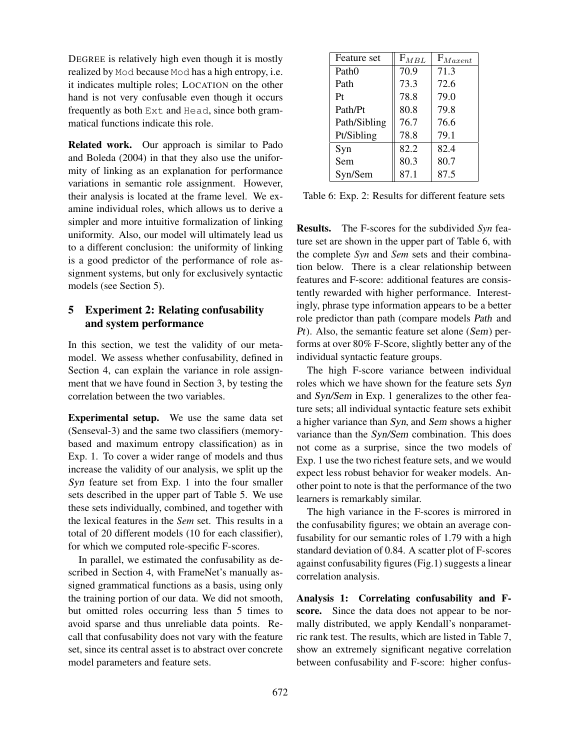DEGREE is relatively high even though it is mostly realized by Mod because Mod has a high entropy, i.e. it indicates multiple roles; LOCATION on the other hand is not very confusable even though it occurs frequently as both Ext and Head, since both grammatical functions indicate this role.

Related work. Our approach is similar to Pado and Boleda (2004) in that they also use the uniformity of linking as an explanation for performance variations in semantic role assignment. However, their analysis is located at the frame level. We examine individual roles, which allows us to derive a simpler and more intuitive formalization of linking uniformity. Also, our model will ultimately lead us to a different conclusion: the uniformity of linking is a good predictor of the performance of role assignment systems, but only for exclusively syntactic models (see Section 5).

# 5 Experiment 2: Relating confusability and system performance

In this section, we test the validity of our metamodel. We assess whether confusability, defined in Section 4, can explain the variance in role assignment that we have found in Section 3, by testing the correlation between the two variables.

Experimental setup. We use the same data set (Senseval-3) and the same two classifiers (memorybased and maximum entropy classification) as in Exp. 1. To cover a wider range of models and thus increase the validity of our analysis, we split up the Syn feature set from Exp. 1 into the four smaller sets described in the upper part of Table 5. We use these sets individually, combined, and together with the lexical features in the *Sem* set. This results in a total of 20 different models (10 for each classifier), for which we computed role-specific F-scores.

In parallel, we estimated the confusability as described in Section 4, with FrameNet's manually assigned grammatical functions as a basis, using only the training portion of our data. We did not smooth, but omitted roles occurring less than 5 times to avoid sparse and thus unreliable data points. Recall that confusability does not vary with the feature set, since its central asset is to abstract over concrete model parameters and feature sets.

| Feature set       | $F_{MBL}$ | $F_{Maxent}$ |
|-------------------|-----------|--------------|
| Path <sub>0</sub> | 70.9      | 71.3         |
| Path              | 73.3      | 72.6         |
| Pt                | 78.8      | 79.0         |
| Path/Pt           | 80.8      | 79.8         |
| Path/Sibling      | 76.7      | 76.6         |
| Pt/Sibling        | 78.8      | 79.1         |
| Syn               | 82.2      | 82.4         |
| Sem               | 80.3      | 80.7         |
| Syn/Sem           | 87.1      | 87.5         |

Table 6: Exp. 2: Results for different feature sets

Results. The F-scores for the subdivided *Syn* feature set are shown in the upper part of Table 6, with the complete *Syn* and *Sem* sets and their combination below. There is a clear relationship between features and F-score: additional features are consistently rewarded with higher performance. Interestingly, phrase type information appears to be a better role predictor than path (compare models Path and Pt). Also, the semantic feature set alone (Sem) performs at over 80% F-Score, slightly better any of the individual syntactic feature groups.

The high F-score variance between individual roles which we have shown for the feature sets Syn and Syn/Sem in Exp. 1 generalizes to the other feature sets; all individual syntactic feature sets exhibit a higher variance than Syn, and Sem shows a higher variance than the Syn/Sem combination. This does not come as a surprise, since the two models of Exp. 1 use the two richest feature sets, and we would expect less robust behavior for weaker models. Another point to note is that the performance of the two learners is remarkably similar.

The high variance in the F-scores is mirrored in the confusability figures; we obtain an average confusability for our semantic roles of 1.79 with a high standard deviation of 0.84. A scatter plot of F-scores against confusability figures (Fig.1) suggests a linear correlation analysis.

Analysis 1: Correlating confusability and Fscore. Since the data does not appear to be normally distributed, we apply Kendall's nonparametric rank test. The results, which are listed in Table 7, show an extremely significant negative correlation between confusability and F-score: higher confus-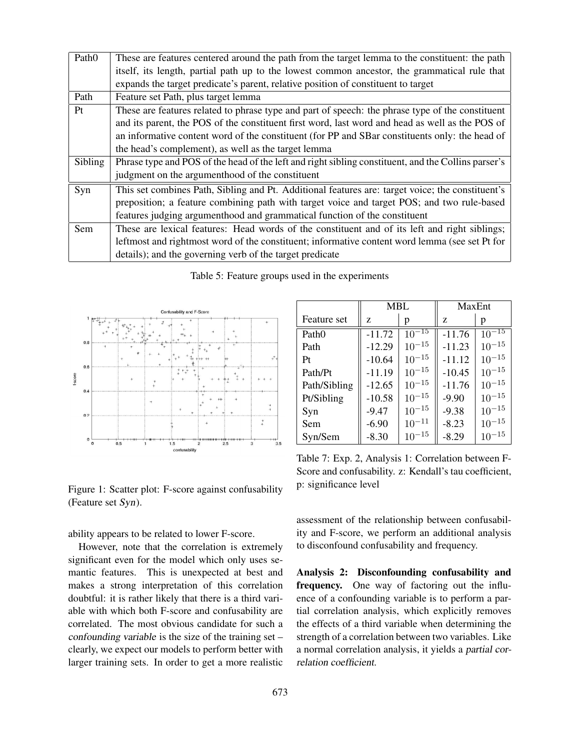| Path <sub>0</sub> | These are features centered around the path from the target lemma to the constituent: the path      |
|-------------------|-----------------------------------------------------------------------------------------------------|
|                   | itself, its length, partial path up to the lowest common ancestor, the grammatical rule that        |
|                   | expands the target predicate's parent, relative position of constituent to target                   |
| Path              | Feature set Path, plus target lemma                                                                 |
| Pt                | These are features related to phrase type and part of speech: the phrase type of the constituent    |
|                   | and its parent, the POS of the constituent first word, last word and head as well as the POS of     |
|                   | an informative content word of the constituent (for PP and SBar constituents only: the head of      |
|                   | the head's complement), as well as the target lemma                                                 |
| Sibling           | Phrase type and POS of the head of the left and right sibling constituent, and the Collins parser's |
|                   | judgment on the argumenthood of the constituent                                                     |
| Syn               | This set combines Path, Sibling and Pt. Additional features are: target voice; the constituent's    |
|                   | preposition; a feature combining path with target voice and target POS; and two rule-based          |
|                   | features judging argumenthood and grammatical function of the constituent                           |
| Sem               | These are lexical features: Head words of the constituent and of its left and right siblings;       |
|                   | leftmost and rightmost word of the constituent; informative content word lemma (see set Pt for      |
|                   | details); and the governing verb of the target predicate                                            |

Table 5: Feature groups used in the experiments



Figure 1: Scatter plot: F-score against confusability (Feature set Syn).

ability appears to be related to lower F-score.

However, note that the correlation is extremely significant even for the model which only uses semantic features. This is unexpected at best and makes a strong interpretation of this correlation doubtful: it is rather likely that there is a third variable with which both F-score and confusability are correlated. The most obvious candidate for such a confounding variable is the size of the training set – clearly, we expect our models to perform better with larger training sets. In order to get a more realistic

|                   | <b>MBL</b> |            | MaxEnt   |            |
|-------------------|------------|------------|----------|------------|
| Feature set       | Z          | р          | Z        | p          |
| Path <sub>0</sub> | $-11.72$   | $10^{-15}$ | $-11.76$ | $10^{-15}$ |
| Path              | $-12.29$   | $10^{-15}$ | $-11.23$ | $10^{-15}$ |
| Pt                | $-10.64$   | $10^{-15}$ | $-11.12$ | $10^{-15}$ |
| Path/Pt           | $-11.19$   | $10^{-15}$ | $-10.45$ | $10^{-15}$ |
| Path/Sibling      | $-12.65$   | $10^{-15}$ | $-11.76$ | $10^{-15}$ |
| Pt/Sibling        | $-10.58$   | $10^{-15}$ | $-9.90$  | $10^{-15}$ |
| Syn               | $-9.47$    | $10^{-15}$ | $-9.38$  | $10^{-15}$ |
| Sem               | $-6.90$    | $10^{-11}$ | $-8.23$  | $10^{-15}$ |
| Syn/Sem           | $-8.30$    | $10^{-15}$ | $-8.29$  | $10^{-15}$ |

Table 7: Exp. 2, Analysis 1: Correlation between F-Score and confusability. z: Kendall's tau coefficient, p: significance level

assessment of the relationship between confusability and F-score, we perform an additional analysis to disconfound confusability and frequency.

Analysis 2: Disconfounding confusability and frequency. One way of factoring out the influence of a confounding variable is to perform a partial correlation analysis, which explicitly removes the effects of a third variable when determining the strength of a correlation between two variables. Like a normal correlation analysis, it yields a partial correlation coefficient.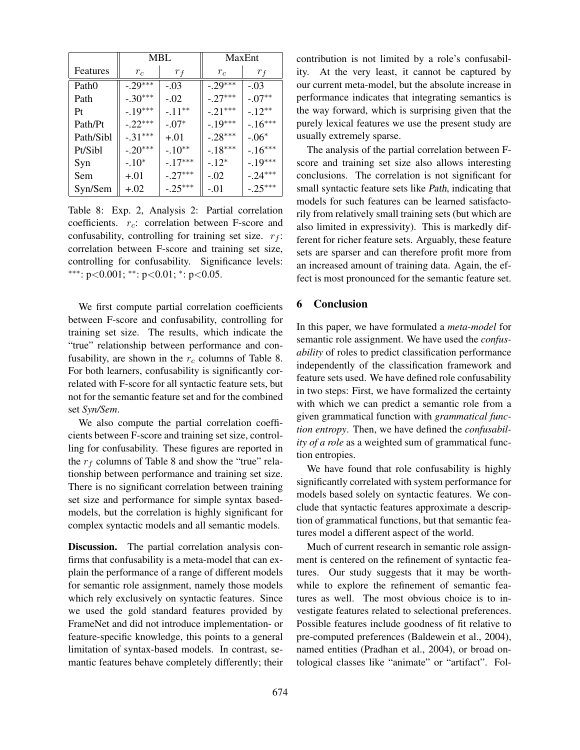|                   | MBL       |           | MaxEnt    |           |
|-------------------|-----------|-----------|-----------|-----------|
| Features          | $r_c$     | $r_f$     | $r_c$     | $r_f$     |
| Path <sub>0</sub> | $-.29***$ | $-.03$    | $-.29***$ | $-.03$    |
| Path              | $-.30***$ | $-.02$    | $-.27***$ | $-.07**$  |
| Pt                | $-.19***$ | $-.11**$  | $-.21***$ | $-.12**$  |
| Path/Pt           | $-.22***$ | $-.07*$   | $-.19***$ | $-16***$  |
| Path/Sibl         | $-.31***$ | $+.01$    | $-.28***$ | $-.06*$   |
| Pt/Sibl           | $-.20***$ | $-.10**$  | $-18***$  | $-16***$  |
| Syn               | $-.10*$   | $-.17***$ | $-.12*$   | $-.19***$ |
| Sem               | $+.01$    | $-.27***$ | $-.02$    | $-.24***$ |
| Syn/Sem           | $+.02$    | $-.25***$ | -.01      | $-.25***$ |

Table 8: Exp. 2, Analysis 2: Partial correlation coefficients.  $r_c$ : correlation between F-score and confusability, controlling for training set size.  $r_f$ : correlation between F-score and training set size, controlling for confusability. Significance levels: ∗∗∗: p<0.001; ∗∗: p<0.01; <sup>∗</sup> : p<0.05.

We first compute partial correlation coefficients between F-score and confusability, controlling for training set size. The results, which indicate the "true" relationship between performance and confusability, are shown in the  $r_c$  columns of Table 8. For both learners, confusability is significantly correlated with F-score for all syntactic feature sets, but not for the semantic feature set and for the combined set *Syn/Sem*.

We also compute the partial correlation coefficients between F-score and training set size, controlling for confusability. These figures are reported in the  $r_f$  columns of Table 8 and show the "true" relationship between performance and training set size. There is no significant correlation between training set size and performance for simple syntax basedmodels, but the correlation is highly significant for complex syntactic models and all semantic models.

Discussion. The partial correlation analysis confirms that confusability is a meta-model that can explain the performance of a range of different models for semantic role assignment, namely those models which rely exclusively on syntactic features. Since we used the gold standard features provided by FrameNet and did not introduce implementation- or feature-specific knowledge, this points to a general limitation of syntax-based models. In contrast, semantic features behave completely differently; their contribution is not limited by a role's confusability. At the very least, it cannot be captured by our current meta-model, but the absolute increase in performance indicates that integrating semantics is the way forward, which is surprising given that the purely lexical features we use the present study are usually extremely sparse.

The analysis of the partial correlation between Fscore and training set size also allows interesting conclusions. The correlation is not significant for small syntactic feature sets like Path, indicating that models for such features can be learned satisfactorily from relatively small training sets (but which are also limited in expressivity). This is markedly different for richer feature sets. Arguably, these feature sets are sparser and can therefore profit more from an increased amount of training data. Again, the effect is most pronounced for the semantic feature set.

#### 6 Conclusion

In this paper, we have formulated a *meta-model* for semantic role assignment. We have used the *confusability* of roles to predict classification performance independently of the classification framework and feature sets used. We have defined role confusability in two steps: First, we have formalized the certainty with which we can predict a semantic role from a given grammatical function with *grammatical function entropy*. Then, we have defined the *confusability of a role* as a weighted sum of grammatical function entropies.

We have found that role confusability is highly significantly correlated with system performance for models based solely on syntactic features. We conclude that syntactic features approximate a description of grammatical functions, but that semantic features model a different aspect of the world.

Much of current research in semantic role assignment is centered on the refinement of syntactic features. Our study suggests that it may be worthwhile to explore the refinement of semantic features as well. The most obvious choice is to investigate features related to selectional preferences. Possible features include goodness of fit relative to pre-computed preferences (Baldewein et al., 2004), named entities (Pradhan et al., 2004), or broad ontological classes like "animate" or "artifact". Fol